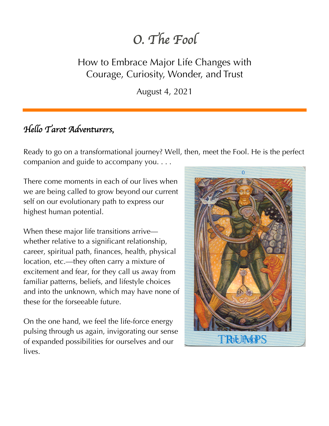# *O. The Fool*

### How to Embrace Major Life Changes with Courage, Curiosity, Wonder, and Trust

August 4, 2021

# *Hello Tarot Adventurers,*

Ready to go on a transformational journey? Well, then, meet the Fool. He is the perfect companion and guide to accompany you. . . .

There come moments in each of our lives when we are being called to grow beyond our current self on our evolutionary path to express our highest human potential.

When these major life transitions arrive whether relative to a significant relationship, career, spiritual path, finances, health, physical location, etc.—they often carry a mixture of excitement and fear, for they call us away from familiar patterns, beliefs, and lifestyle choices and into the unknown, which may have none of these for the forseeable future.

On the one hand, we feel the life-force energy pulsing through us again, invigorating our sense of expanded possibilities for ourselves and our lives.

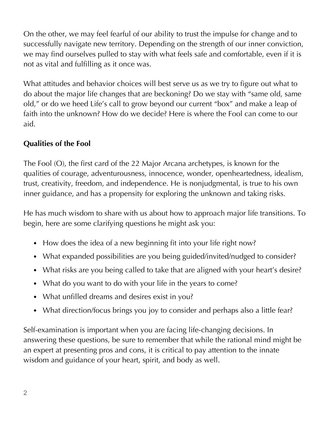On the other, we may feel fearful of our ability to trust the impulse for change and to successfully navigate new territory. Depending on the strength of our inner conviction, we may find ourselves pulled to stay with what feels safe and comfortable, even if it is not as vital and fulfilling as it once was.

What attitudes and behavior choices will best serve us as we try to figure out what to do about the major life changes that are beckoning? Do we stay with "same old, same old," or do we heed Life's call to grow beyond our current "box" and make a leap of faith into the unknown? How do we decide? Here is where the Fool can come to our aid.

#### **Qualities of the Fool**

The Fool (O), the first card of the 22 Major Arcana archetypes, is known for the qualities of courage, adventurousness, innocence, wonder, openheartedness, idealism, trust, creativity, freedom, and independence. He is nonjudgmental, is true to his own inner guidance, and has a propensity for exploring the unknown and taking risks.

He has much wisdom to share with us about how to approach major life transitions. To begin, here are some clarifying questions he might ask you:

- How does the idea of a new beginning fit into your life right now?
- What expanded possibilities are you being guided/invited/nudged to consider?
- What risks are you being called to take that are aligned with your heart's desire?
- What do you want to do with your life in the years to come?
- What unfilled dreams and desires exist in you?
- What direction/focus brings you joy to consider and perhaps also a little fear?

Self-examination is important when you are facing life-changing decisions. In answering these questions, be sure to remember that while the rational mind might be an expert at presenting pros and cons, it is critical to pay attention to the innate wisdom and guidance of your heart, spirit, and body as well.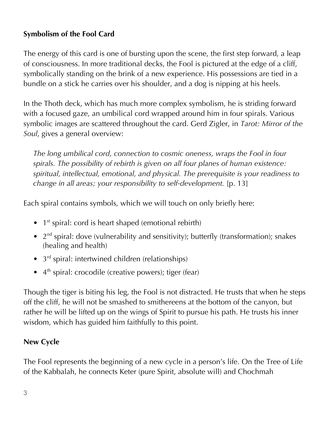#### **Symbolism of the Fool Card**

The energy of this card is one of bursting upon the scene, the first step forward, a leap of consciousness. In more traditional decks, the Fool is pictured at the edge of a cliff, symbolically standing on the brink of a new experience. His possessions are tied in a bundle on a stick he carries over his shoulder, and a dog is nipping at his heels.

In the Thoth deck, which has much more complex symbolism, he is striding forward with a focused gaze, an umbilical cord wrapped around him in four spirals. Various symbolic images are scattered throughout the card. Gerd Zigler, in *Tarot: Mirror of the Soul*, gives a general overview:

*The long umbilical cord, connection to cosmic oneness, wraps the Fool in four spirals. The possibility of rebirth is given on all four planes of human existence: spiritual, intellectual, emotional, and physical. The prerequisite is your readiness to change in all areas; your responsibility to self-development.* [p. 13]

Each spiral contains symbols, which we will touch on only briefly here:

- $\bullet$  1<sup>st</sup> spiral: cord is heart shaped (emotional rebirth)
- $2<sup>nd</sup>$  spiral: dove (vulnerability and sensitivity); butterfly (transformation); snakes (healing and health)
- 3<sup>rd</sup> spiral: intertwined children (relationships)
- $\bullet$  4<sup>th</sup> spiral: crocodile (creative powers); tiger (fear)

Though the tiger is biting his leg, the Fool is not distracted. He trusts that when he steps off the cliff, he will not be smashed to smithereens at the bottom of the canyon, but rather he will be lifted up on the wings of Spirit to pursue his path. He trusts his inner wisdom, which has guided him faithfully to this point.

#### **New Cycle**

The Fool represents the beginning of a new cycle in a person's life. On the Tree of Life of the Kabbalah, he connects Keter (pure Spirit, absolute will) and Chochmah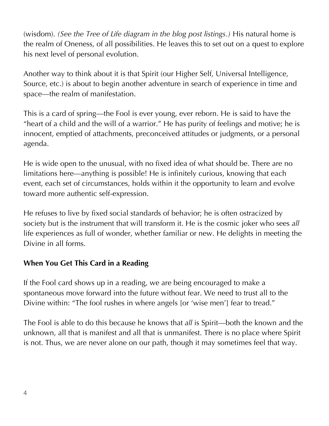(wisdom). *(See the Tree of Life diagram in the blog post listings.)* His natural home is the realm of Oneness, of all possibilities. He leaves this to set out on a quest to explore his next level of personal evolution.

Another way to think about it is that Spirit (our Higher Self, Universal Intelligence, Source, etc.) is about to begin another adventure in search of experience in time and space—the realm of manifestation.

This is a card of spring—the Fool is ever young, ever reborn. He is said to have the "heart of a child and the will of a warrior." He has purity of feelings and motive; he is innocent, emptied of attachments, preconceived attitudes or judgments, or a personal agenda.

He is wide open to the unusual, with no fixed idea of what should be. There are no limitations here—anything is possible! He is infinitely curious, knowing that each event, each set of circumstances, holds within it the opportunity to learn and evolve toward more authentic self-expression.

He refuses to live by fixed social standards of behavior; he is often ostracized by society but is the instrument that will transform it. He is the cosmic joker who sees *all*  life experiences as full of wonder, whether familiar or new. He delights in meeting the Divine in all forms.

#### **When You Get This Card in a Reading**

If the Fool card shows up in a reading, we are being encouraged to make a spontaneous move forward into the future without fear. We need to trust all to the Divine within: "The fool rushes in where angels [or 'wise men'] fear to tread."

The Fool is able to do this because he knows that *all* is Spirit—both the known and the unknown, all that is manifest and all that is unmanifest. There is no place where Spirit is not. Thus, we are never alone on our path, though it may sometimes feel that way.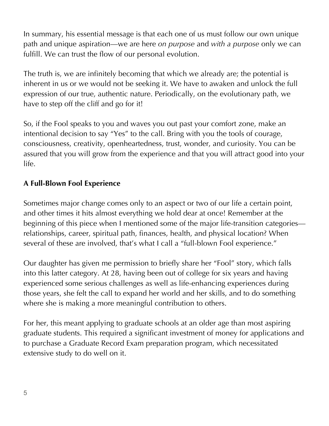In summary, his essential message is that each one of us must follow our own unique path and unique aspiration—we are here *on purpose* and *with a purpose* only we can fulfill. We can trust the flow of our personal evolution.

The truth is, we are infinitely becoming that which we already are; the potential is inherent in us or we would not be seeking it. We have to awaken and unlock the full expression of our true, authentic nature. Periodically, on the evolutionary path, we have to step off the cliff and go for it!

So, if the Fool speaks to you and waves you out past your comfort zone, make an intentional decision to say "Yes" to the call. Bring with you the tools of courage, consciousness, creativity, openheartedness, trust, wonder, and curiosity. You can be assured that you will grow from the experience and that you will attract good into your life.

#### **A Full-Blown Fool Experience**

Sometimes major change comes only to an aspect or two of our life a certain point, and other times it hits almost everything we hold dear at once! Remember at the beginning of this piece when I mentioned some of the major life-transition categories relationships, career, spiritual path, finances, health, and physical location? When several of these are involved, that's what I call a "full-blown Fool experience."

Our daughter has given me permission to briefly share her "Fool" story, which falls into this latter category. At 28, having been out of college for six years and having experienced some serious challenges as well as life-enhancing experiences during those years, she felt the call to expand her world and her skills, and to do something where she is making a more meaningful contribution to others.

For her, this meant applying to graduate schools at an older age than most aspiring graduate students. This required a significant investment of money for applications and to purchase a Graduate Record Exam preparation program, which necessitated extensive study to do well on it.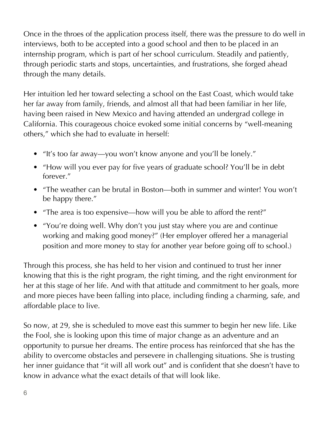Once in the throes of the application process itself, there was the pressure to do well in interviews, both to be accepted into a good school and then to be placed in an internship program, which is part of her school curriculum. Steadily and patiently, through periodic starts and stops, uncertainties, and frustrations, she forged ahead through the many details.

Her intuition led her toward selecting a school on the East Coast, which would take her far away from family, friends, and almost all that had been familiar in her life, having been raised in New Mexico and having attended an undergrad college in California. This courageous choice evoked some initial concerns by "well-meaning others," which she had to evaluate in herself:

- "It's too far away—you won't know anyone and you'll be lonely."
- "How will you ever pay for five years of graduate school? You'll be in debt forever."
- "The weather can be brutal in Boston—both in summer and winter! You won't be happy there."
- "The area is too expensive—how will you be able to afford the rent?"
- "You're doing well. Why don't you just stay where you are and continue working and making good money?" (Her employer offered her a managerial position and more money to stay for another year before going off to school.)

Through this process, she has held to her vision and continued to trust her inner knowing that this is the right program, the right timing, and the right environment for her at this stage of her life. And with that attitude and commitment to her goals, more and more pieces have been falling into place, including finding a charming, safe, and affordable place to live.

So now, at 29, she is scheduled to move east this summer to begin her new life. Like the Fool, she is looking upon this time of major change as an adventure and an opportunity to pursue her dreams. The entire process has reinforced that she has the ability to overcome obstacles and persevere in challenging situations. She is trusting her inner guidance that "it will all work out" and is confident that she doesn't have to know in advance what the exact details of that will look like.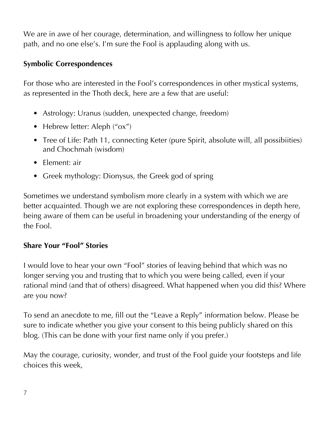We are in awe of her courage, determination, and willingness to follow her unique path, and no one else's. I'm sure the Fool is applauding along with us.

#### **Symbolic Correspondences**

For those who are interested in the Fool's correspondences in other mystical systems, as represented in the Thoth deck, here are a few that are useful:

- Astrology: Uranus (sudden, unexpected change, freedom)
- Hebrew letter: Aleph ("ox")
- Tree of Life: Path 11, connecting Keter (pure Spirit, absolute will, all possibiities) and Chochmah (wisdom)
- Element: air
- Greek mythology: Dionysus, the Greek god of spring

Sometimes we understand symbolism more clearly in a system with which we are better acquainted. Though we are not exploring these correspondences in depth here, being aware of them can be useful in broadening your understanding of the energy of the Fool.

#### **Share Your "Fool" Stories**

I would love to hear your own "Fool" stories of leaving behind that which was no longer serving you and trusting that to which you were being called, even if your rational mind (and that of others) disagreed. What happened when you did this? Where are you now?

To send an anecdote to me, fill out the "Leave a Reply" information below. Please be sure to indicate whether you give your consent to this being publicly shared on this blog. (This can be done with your first name only if you prefer.)

May the courage, curiosity, wonder, and trust of the Fool guide your footsteps and life choices this week,